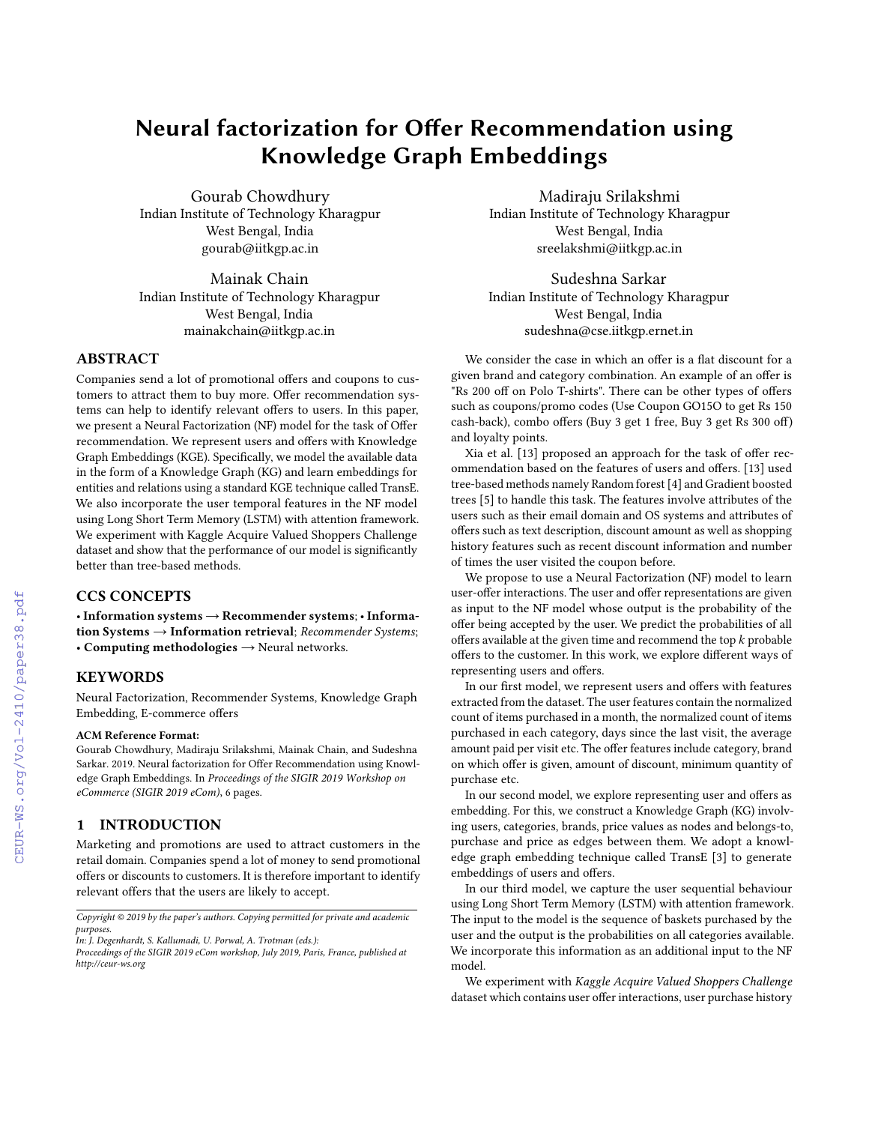# Neural factorization for Offer Recommendation using Knowledge Graph Embeddings

Gourab Chowdhury Indian Institute of Technology Kharagpur West Bengal, India gourab@iitkgp.ac.in

Mainak Chain Indian Institute of Technology Kharagpur West Bengal, India mainakchain@iitkgp.ac.in

# ABSTRACT

Companies send a lot of promotional offers and coupons to customers to attract them to buy more. Offer recommendation systems can help to identify relevant offers to users. In this paper, we present a Neural Factorization (NF) model for the task of Offer recommendation. We represent users and offers with Knowledge Graph Embeddings (KGE). Specifically, we model the available data in the form of a Knowledge Graph (KG) and learn embeddings for entities and relations using a standard KGE technique called TransE. We also incorporate the user temporal features in the NF model using Long Short Term Memory (LSTM) with attention framework. We experiment with Kaggle Acquire Valued Shoppers Challenge dataset and show that the performance of our model is significantly better than tree-based methods.

# CCS CONCEPTS

• Information systems → Recommender systems; • Information Systems  $\rightarrow$  Information retrieval; Recommender Systems; • Computing methodologies  $\rightarrow$  Neural networks.

# **KEYWORDS**

Neural Factorization, Recommender Systems, Knowledge Graph Embedding, E-commerce offers

#### ACM Reference Format:

Gourab Chowdhury, Madiraju Srilakshmi, Mainak Chain, and Sudeshna Sarkar. 2019. Neural factorization for Offer Recommendation using Knowledge Graph Embeddings. In *Proceedings of the SIGIR 2019 Workshop on eCommerce (SIGIR 2019 eCom)*, [6](#page--1-0) pages.

## 1 INTRODUCTION

Marketing and promotions are used to attract customers in the retail domain. Companies spend a lot of money to send promotional offers or discounts to customers. It is therefore important to identify relevant offers that the users are likely to accept.

*Copyright © 2019 by the paper's authors. Copying permitted for private and academic purposes.*

*In: J. Degenhardt, S. Kallumadi, U. Porwal, A. Trotman (eds.):*

*Proceedings of the SIGIR 2019 eCom workshop, July 2019, Paris, France, published at http://ceur-ws.org*

Madiraju Srilakshmi Indian Institute of Technology Kharagpur West Bengal, India sreelakshmi@iitkgp.ac.in

Sudeshna Sarkar Indian Institute of Technology Kharagpur West Bengal, India sudeshna@cse.iitkgp.ernet.in

We consider the case in which an offer is a flat discount for a given brand and category combination. An example of an offer is "Rs 200 off on Polo T-shirts". There can be other types of offers such as coupons/promo codes (Use Coupon GO15O to get Rs 150 cash-back), combo offers (Buy 3 get 1 free, Buy 3 get Rs 300 off) and loyalty points.

Xia et al. [\[13\]](#page--1-1) proposed an approach for the task of offer recommendation based on the features of users and offers. [\[13\]](#page--1-1) used tree-based methods namely Random forest [\[4\]](#page--1-2) and Gradient boosted trees [\[5\]](#page--1-3) to handle this task. The features involve attributes of the users such as their email domain and OS systems and attributes of offers such as text description, discount amount as well as shopping history features such as recent discount information and number of times the user visited the coupon before.

We propose to use a Neural Factorization (NF) model to learn user-offer interactions. The user and offer representations are given as input to the NF model whose output is the probability of the offer being accepted by the user. We predict the probabilities of all offers available at the given time and recommend the top  $k$  probable offers to the customer. In this work, we explore different ways of representing users and offers.

In our first model, we represent users and offers with features extracted from the dataset. The user features contain the normalized count of items purchased in a month, the normalized count of items purchased in each category, days since the last visit, the average amount paid per visit etc. The offer features include category, brand on which offer is given, amount of discount, minimum quantity of purchase etc.

In our second model, we explore representing user and offers as embedding. For this, we construct a Knowledge Graph (KG) involving users, categories, brands, price values as nodes and belongs-to, purchase and price as edges between them. We adopt a knowledge graph embedding technique called TransE [\[3\]](#page--1-4) to generate embeddings of users and offers.

In our third model, we capture the user sequential behaviour using Long Short Term Memory (LSTM) with attention framework. The input to the model is the sequence of baskets purchased by the user and the output is the probabilities on all categories available. We incorporate this information as an additional input to the NF model.

We experiment with Kaggle Acquire Valued Shoppers Challenge dataset which contains user offer interactions, user purchase history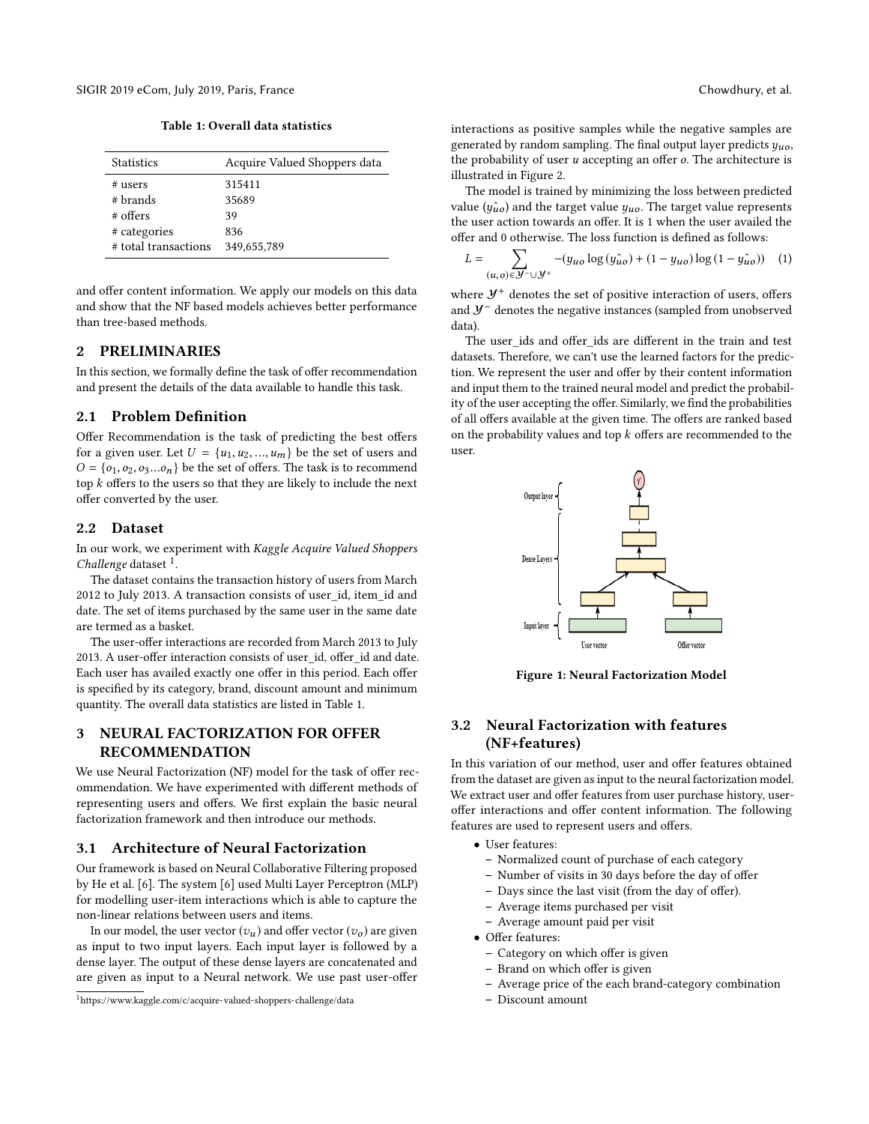SIGIR 2019 eCom, July 2019, Paris, France Chowdhury, et al.

Table 1: Overall data statistics

| <b>Statistics</b>    | Acquire Valued Shoppers data |
|----------------------|------------------------------|
| # users              | 315411                       |
| # brands             | 35689                        |
| $#$ offers           | 39                           |
| # categories         | 836                          |
| # total transactions | 349,655,789                  |

and offer content information. We apply our models on this data and show that the NF based models achieves better performance than tree-based methods.

# 2 PRELIMINARIES

In this section, we formally define the task of offer recommendation and present the details of the data available to handle this task.

#### 2.1 Problem Definition

Offer Recommendation is the task of predicting the best offers for a given user. Let  $U = \{u_1, u_2, ..., u_m\}$  be the set of users and  $O = \{o_1, o_2, o_3...o_n\}$  be the set of offers. The task is to recommend top  $k$  offers to the users so that they are likely to include the next offer converted by the user.

#### 2.2 Dataset

In our work, we experiment with Kaggle Acquire Valued Shoppers Challenge dataset <sup>[1](#page-1-0)</sup>.

The dataset contains the transaction history of users from March 2012 to July 2013. A transaction consists of user\_id, item\_id and date. The set of items purchased by the same user in the same date are termed as a basket.

The user-offer interactions are recorded from March 2013 to July 2013. A user-offer interaction consists of user\_id, offer\_id and date. Each user has availed exactly one offer in this period. Each offer is specified by its category, brand, discount amount and minimum quantity. The overall data statistics are listed in Table 1.

# 3 NEURAL FACTORIZATION FOR OFFER RECOMMENDATION

We use Neural Factorization (NF) model for the task of offer recommendation. We have experimented with different methods of representing users and offers. We first explain the basic neural factorization framework and then introduce our methods.

#### 3.1 Architecture of Neural Factorization

Our framework is based on Neural Collaborative Filtering proposed by He et al. [\[6\]](#page-5-0). The system [\[6\]](#page-5-0) used Multi Layer Perceptron (MLP) for modelling user-item interactions which is able to capture the non-linear relations between users and items.

In our model, the user vector  $(v_u)$  and offer vector  $(v_o)$  are given as input to two input layers. Each input layer is followed by a dense layer. The output of these dense layers are concatenated and are given as input to a Neural network. We use past user-offer interactions as positive samples while the negative samples are generated by random sampling. The final output layer predicts  $y_{u0}$ , the probability of user  $u$  accepting an offer  $o$ . The architecture is illustrated in Figure 2.

The model is trained by minimizing the loss between predicted value ( $y\hat{u}$ <sub>0</sub>) and the target value  $y_{uo}$ . The target value represents the user action towards an offer. It is 1 when the user availed the offer and 0 otherwise. The loss function is defined as follows:

$$
L = \sum_{(u,o)\in \mathcal{Y}^{-}\cup \mathcal{Y}^{+}} -(y_{uo} \log(y_{uo}^{o}) + (1 - y_{uo}) \log(1 - y_{uo}^{o})) \quad (1)
$$

where  $\mathcal{Y}^+$  denotes the set of positive interaction of users, offers and Y<sup>−</sup> denotes the negative instances (sampled from unobserved data).

The user ids and offer ids are different in the train and test datasets. Therefore, we can't use the learned factors for the prediction. We represent the user and offer by their content information and input them to the trained neural model and predict the probability of the user accepting the offer. Similarly, we find the probabilities of all offers available at the given time. The offers are ranked based on the probability values and top  $k$  offers are recommended to the user.



Figure 1: Neural Factorization Model

# 3.2 Neural Factorization with features (NF+features)

In this variation of our method, user and offer features obtained from the dataset are given as input to the neural factorization model. We extract user and offer features from user purchase history, useroffer interactions and offer content information. The following features are used to represent users and offers.

- User features:
	- Normalized count of purchase of each category
	- Number of visits in 30 days before the day of offer
	- Days since the last visit (from the day of offer).
	- Average items purchased per visit
	- Average amount paid per visit
- Offer features:
	- Category on which offer is given
	- Brand on which offer is given
	- Average price of the each brand-category combination
	- Discount amount

<span id="page-1-0"></span><sup>1</sup><https://www.kaggle.com/c/acquire-valued-shoppers-challenge/data>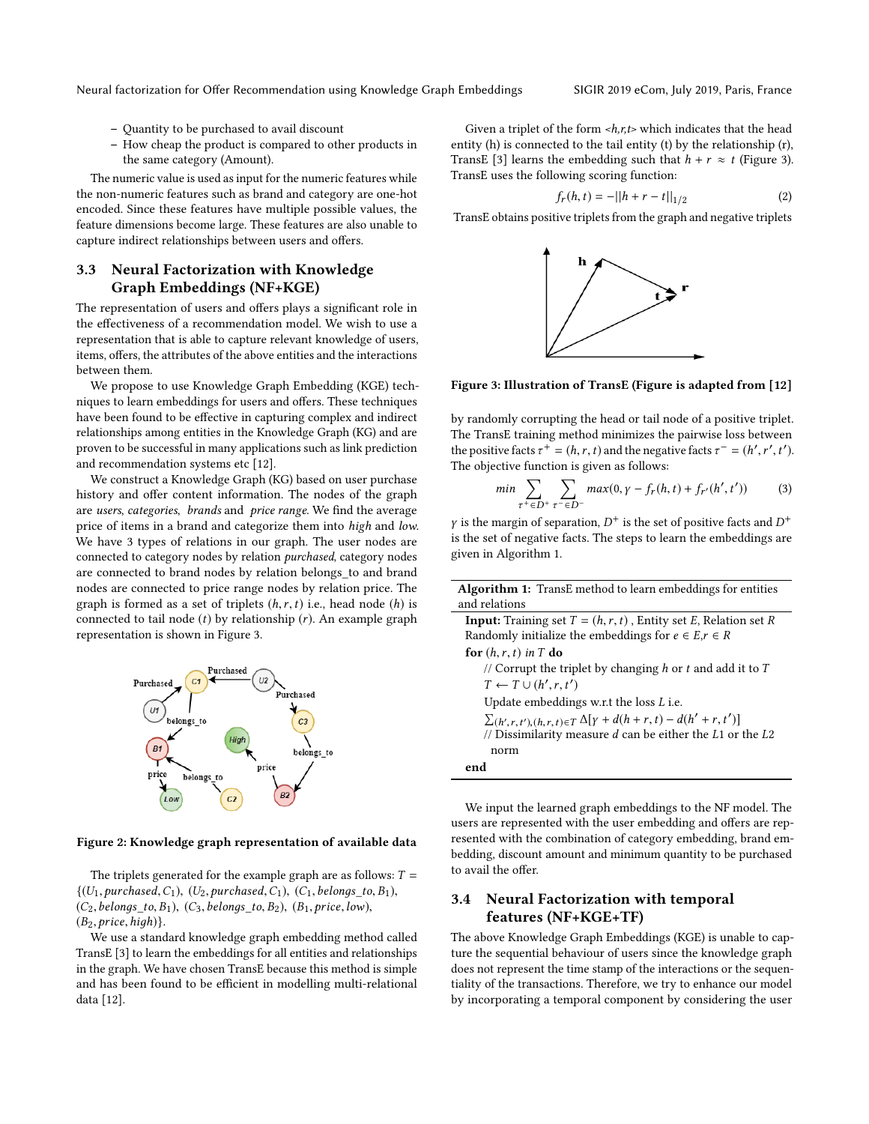Neural factorization for Offer Recommendation using Knowledge Graph Embeddings SIGIR 2019 eCom, July 2019, Paris, France

- Quantity to be purchased to avail discount
- How cheap the product is compared to other products in the same category (Amount).

The numeric value is used as input for the numeric features while the non-numeric features such as brand and category are one-hot encoded. Since these features have multiple possible values, the feature dimensions become large. These features are also unable to capture indirect relationships between users and offers.

# 3.3 Neural Factorization with Knowledge Graph Embeddings (NF+KGE)

The representation of users and offers plays a significant role in the effectiveness of a recommendation model. We wish to use a representation that is able to capture relevant knowledge of users, items, offers, the attributes of the above entities and the interactions between them.

We propose to use Knowledge Graph Embedding (KGE) techniques to learn embeddings for users and offers. These techniques have been found to be effective in capturing complex and indirect relationships among entities in the Knowledge Graph (KG) and are proven to be successful in many applications such as link prediction and recommendation systems etc [\[12\]](#page-5-1).

We construct a Knowledge Graph (KG) based on user purchase history and offer content information. The nodes of the graph are users, categories, brands and price range. We find the average price of items in a brand and categorize them into high and low. We have 3 types of relations in our graph. The user nodes are connected to category nodes by relation purchased, category nodes are connected to brand nodes by relation belongs to and brand nodes are connected to price range nodes by relation price. The graph is formed as a set of triplets  $(h, r, t)$  i.e., head node  $(h)$  is connected to tail node  $(t)$  by relationship  $(r)$ . An example graph representation is shown in Figure 3.



#### Figure 2: Knowledge graph representation of available data

The triplets generated for the example graph are as follows:  $T =$  $\{(U_1, purchased, C_1), (U_2, purchased, C_1), (C_1, belongs_to, B_1),\}$  $(C_2, belongs\_to, B_1), (C_3, belongs\_to, B_2), (B_1, price, low),$  $(B_2, price, high)$ .

We use a standard knowledge graph embedding method called TransE [\[3\]](#page-5-2) to learn the embeddings for all entities and relationships in the graph. We have chosen TransE because this method is simple and has been found to be efficient in modelling multi-relational data [\[12\]](#page-5-1).

Given a triplet of the form  $\langle h, r, t \rangle$  which indicates that the head entity (h) is connected to the tail entity (t) by the relationship (r), TransE [\[3\]](#page-5-2) learns the embedding such that  $h + r \approx t$  (Figure [3\)](#page-2-0). TransE uses the following scoring function:

$$
f_r(h, t) = -||h + r - t||_{1/2}
$$
 (2)

<span id="page-2-0"></span>TransE obtains positive triplets from the graph and negative triplets



Figure 3: Illustration of TransE (Figure is adapted from [\[12\]](#page-5-1)

by randomly corrupting the head or tail node of a positive triplet. The TransE training method minimizes the pairwise loss between the positive facts  $\tau^+ = (h, r, t)$  and the negative facts  $\tau^- = (h'$ <br>The objective function is given as follows:  $\ddot{\phantom{a}}$ ′  $\cdot$ ′ ). The objective function is given as follows:

$$
min \sum_{\tau^+ \in D^+} \sum_{\tau^- \in D^-} max(0, \gamma - f_r(h, t) + f_{r'}(h', t')) \tag{3}
$$

y is the margin of separation,  $D^+$  is the set of positive facts and  $D^+$ <br>is the set of perative facts. The steps to learn the embeddings are is the set of negative facts. The steps to learn the embeddings are given in Algorithm 1.

| <b>Algorithm 1:</b> TransE method to learn embeddings for entities        |  |  |  |  |  |
|---------------------------------------------------------------------------|--|--|--|--|--|
| and relations                                                             |  |  |  |  |  |
| <b>Input:</b> Training set $T = (h, r, t)$ , Entity set E, Relation set R |  |  |  |  |  |
| Randomly initialize the embeddings for $e \in E, r \in R$                 |  |  |  |  |  |
| for $(h, r, t)$ in T do                                                   |  |  |  |  |  |
| // Corrupt the triplet by changing $h$ or $t$ and add it to $T$           |  |  |  |  |  |
| $T \leftarrow T \cup (h', r, t')$                                         |  |  |  |  |  |
| Update embeddings w.r.t the loss $L$ i.e.                                 |  |  |  |  |  |
| $\sum_{(h',r,t'),(h,r,t)\in T}\Delta[y + d(h+r,t) - d(h'+r,t')]$          |  |  |  |  |  |
| // Dissimilarity measure $d$ can be either the $L1$ or the $L2$           |  |  |  |  |  |
| norm                                                                      |  |  |  |  |  |
| end                                                                       |  |  |  |  |  |
|                                                                           |  |  |  |  |  |

We input the learned graph embeddings to the NF model. The users are represented with the user embedding and offers are represented with the combination of category embedding, brand embedding, discount amount and minimum quantity to be purchased to avail the offer.

# 3.4 Neural Factorization with temporal features (NF+KGE+TF)

The above Knowledge Graph Embeddings (KGE) is unable to capture the sequential behaviour of users since the knowledge graph does not represent the time stamp of the interactions or the sequentiality of the transactions. Therefore, we try to enhance our model by incorporating a temporal component by considering the user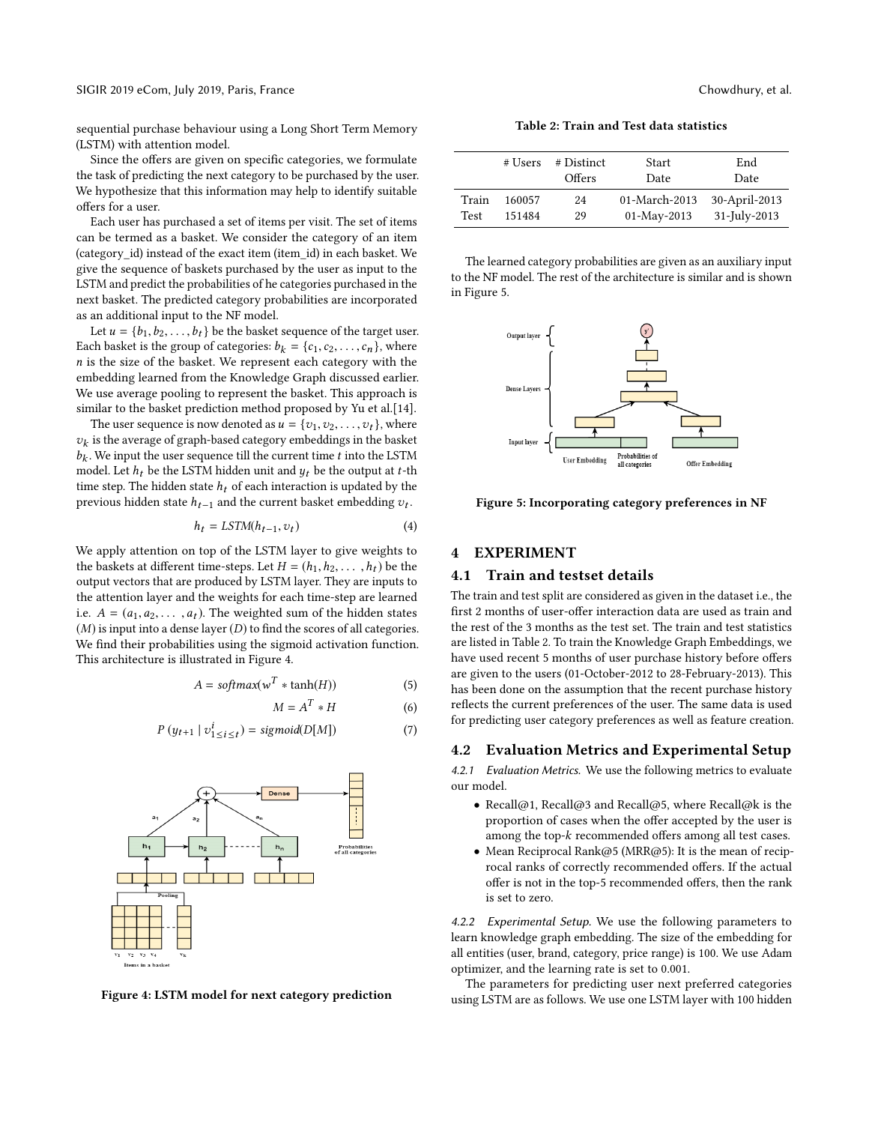sequential purchase behaviour using a Long Short Term Memory (LSTM) with attention model.

Since the offers are given on specific categories, we formulate the task of predicting the next category to be purchased by the user. We hypothesize that this information may help to identify suitable offers for a user.

Each user has purchased a set of items per visit. The set of items can be termed as a basket. We consider the category of an item (category\_id) instead of the exact item (item\_id) in each basket. We give the sequence of baskets purchased by the user as input to the LSTM and predict the probabilities of he categories purchased in the next basket. The predicted category probabilities are incorporated as an additional input to the NF model.

Let  $u = \{b_1, b_2, \ldots, b_t\}$  be the basket sequence of the target user. Each basket is the group of categories:  $b_k = \{c_1, c_2, \ldots, c_n\}$ , where  $n$  is the size of the basket. We represent each category with the embedding learned from the Knowledge Graph discussed earlier. We use average pooling to represent the basket. This approach is similar to the basket prediction method proposed by Yu et al.[\[14\]](#page-5-3).

The user sequence is now denoted as  $u = \{v_1, v_2, \ldots, v_t\}$ , where  $b_k$ . We input the user sequence till the current time t into the LSTM model Let  $b_k$ , be the LSTM hidden unit and  $u_k$  be the output at t-th  $v_k$  is the average of graph-based category embeddings in the basket model. Let  $h_t$  be the LSTM hidden unit and  $y_t$  be the output at t-th time stap. The hidden state  $h_t$  of each interaction is undated by the time step. The hidden state  $h_t$  of each interaction is updated by the previous hidden state  $h_{t-1}$  and the current basket embedding  $v_t$ .

$$
h_t = LSTM(h_{t-1}, v_t)
$$
\n<sup>(4)</sup>

We apply attention on top of the LSTM layer to give weights to the baskets at different time-steps. Let  $H = (h_1, h_2, \ldots, h_t)$  be the output vectors that are produced by LSTM layer. They are inputs to the attention layer and the weights for each time-step are learned i.e.  $A = (a_1, a_2, \dots, a_t)$ . The weighted sum of the hidden states  $(M)$  is input into a dense layer  $(D)$  to find the scores of all categories. We find their probabilities using the sigmoid activation function. This architecture is illustrated in Figure 4.

$$
A = softmax(w^T * tanh(H))
$$
 (5)

$$
M = A^T * H \tag{6}
$$

$$
P(y_{t+1} | v_{1 \le i \le t}^t) = sigmoid(D[M]) \tag{7}
$$



Figure 4: LSTM model for next category prediction

Table 2: Train and Test data statistics

|             | # Users | # Distinct<br>Offers | <b>Start</b><br>Date | End<br>Date   |
|-------------|---------|----------------------|----------------------|---------------|
| Train       | 160057  | 24                   | 01-March-2013        | 30-April-2013 |
| <b>Test</b> | 151484  | 29                   | $01$ -May-2013       | 31-July-2013  |

The learned category probabilities are given as an auxiliary input to the NF model. The rest of the architecture is similar and is shown in Figure 5.



Figure 5: Incorporating category preferences in NF

## 4 EXPERIMENT

### 4.1 Train and testset details

The train and test split are considered as given in the dataset i.e., the first 2 months of user-offer interaction data are used as train and the rest of the 3 months as the test set. The train and test statistics are listed in Table 2. To train the Knowledge Graph Embeddings, we have used recent 5 months of user purchase history before offers are given to the users (01-October-2012 to 28-February-2013). This has been done on the assumption that the recent purchase history reflects the current preferences of the user. The same data is used for predicting user category preferences as well as feature creation.

#### 4.2 Evaluation Metrics and Experimental Setup

4.2.1 Evaluation Metrics. We use the following metrics to evaluate our model.

- Recall@1, Recall@3 and Recall@5, where Recall@k is the proportion of cases when the offer accepted by the user is among the top-k recommended offers among all test cases.
- Mean Reciprocal Rank@5 (MRR@5): It is the mean of reciprocal ranks of correctly recommended offers. If the actual offer is not in the top-5 recommended offers, then the rank is set to zero.

4.2.2 Experimental Setup. We use the following parameters to learn knowledge graph embedding. The size of the embedding for all entities (user, brand, category, price range) is 100. We use Adam optimizer, and the learning rate is set to 0.001.

The parameters for predicting user next preferred categories using LSTM are as follows. We use one LSTM layer with 100 hidden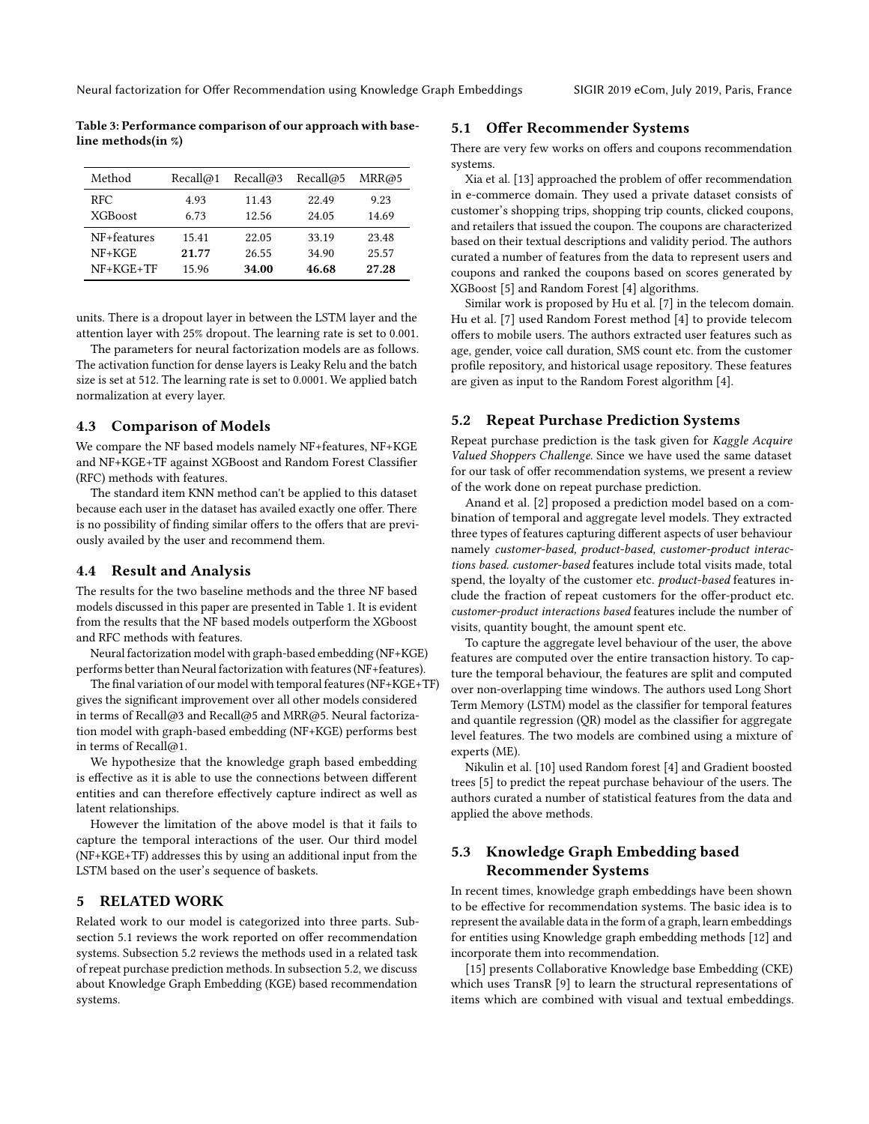Table 3: Performance comparison of our approach with baseline methods(in %)

| Method         | Recall@1 | Recall@3 | Recall@5 | MRR@5 |
|----------------|----------|----------|----------|-------|
| RFC.           | 4.93     | 11.43    | 22.49    | 9.23  |
| <b>XGBoost</b> | 6.73     | 12.56    | 24.05    | 14.69 |
| NF+features    | 15.41    | 22.05    | 33.19    | 23.48 |
| $NF+KGE$       | 21.77    | 26.55    | 34.90    | 25.57 |
| $NF+KGE+TF$    | 15.96    | 34.00    | 46.68    | 27.28 |

units. There is a dropout layer in between the LSTM layer and the attention layer with 25% dropout. The learning rate is set to 0.001.

The parameters for neural factorization models are as follows. The activation function for dense layers is Leaky Relu and the batch size is set at 512. The learning rate is set to 0.0001. We applied batch normalization at every layer.

#### 4.3 Comparison of Models

We compare the NF based models namely NF+features, NF+KGE and NF+KGE+TF against XGBoost and Random Forest Classifier (RFC) methods with features.

The standard item KNN method can't be applied to this dataset because each user in the dataset has availed exactly one offer. There is no possibility of finding similar offers to the offers that are previously availed by the user and recommend them.

## 4.4 Result and Analysis

The results for the two baseline methods and the three NF based models discussed in this paper are presented in Table 1. It is evident from the results that the NF based models outperform the XGboost and RFC methods with features.

Neural factorization model with graph-based embedding (NF+KGE) performs better than Neural factorization with features (NF+features).

The final variation of our model with temporal features (NF+KGE+TF) gives the significant improvement over all other models considered in terms of Recall@3 and Recall@5 and MRR@5. Neural factorization model with graph-based embedding (NF+KGE) performs best in terms of Recall@1.

We hypothesize that the knowledge graph based embedding is effective as it is able to use the connections between different entities and can therefore effectively capture indirect as well as latent relationships.

However the limitation of the above model is that it fails to capture the temporal interactions of the user. Our third model (NF+KGE+TF) addresses this by using an additional input from the LSTM based on the user's sequence of baskets.

## 5 RELATED WORK

Related work to our model is categorized into three parts. Subsection 5.1 reviews the work reported on offer recommendation systems. Subsection 5.2 reviews the methods used in a related task of repeat purchase prediction methods. In subsection 5.2, we discuss about Knowledge Graph Embedding (KGE) based recommendation systems.

### 5.1 Offer Recommender Systems

There are very few works on offers and coupons recommendation systems.

Xia et al. [\[13\]](#page-5-4) approached the problem of offer recommendation in e-commerce domain. They used a private dataset consists of customer's shopping trips, shopping trip counts, clicked coupons, and retailers that issued the coupon. The coupons are characterized based on their textual descriptions and validity period. The authors curated a number of features from the data to represent users and coupons and ranked the coupons based on scores generated by XGBoost [\[5\]](#page-5-5) and Random Forest [\[4\]](#page-5-6) algorithms.

Similar work is proposed by Hu et al. [\[7\]](#page-5-7) in the telecom domain. Hu et al. [\[7\]](#page-5-7) used Random Forest method [\[4\]](#page-5-6) to provide telecom offers to mobile users. The authors extracted user features such as age, gender, voice call duration, SMS count etc. from the customer profile repository, and historical usage repository. These features are given as input to the Random Forest algorithm [\[4\]](#page-5-6).

## 5.2 Repeat Purchase Prediction Systems

Repeat purchase prediction is the task given for Kaggle Acquire Valued Shoppers Challenge. Since we have used the same dataset for our task of offer recommendation systems, we present a review of the work done on repeat purchase prediction.

Anand et al. [\[2\]](#page-5-8) proposed a prediction model based on a combination of temporal and aggregate level models. They extracted three types of features capturing different aspects of user behaviour namely customer-based, product-based, customer-product interactions based. customer-based features include total visits made, total spend, the loyalty of the customer etc. *product-based* features include the fraction of repeat customers for the offer-product etc. customer-product interactions based features include the number of visits, quantity bought, the amount spent etc.

To capture the aggregate level behaviour of the user, the above features are computed over the entire transaction history. To capture the temporal behaviour, the features are split and computed over non-overlapping time windows. The authors used Long Short Term Memory (LSTM) model as the classifier for temporal features and quantile regression (QR) model as the classifier for aggregate level features. The two models are combined using a mixture of experts (ME).

Nikulin et al. [\[10\]](#page-5-9) used Random forest [\[4\]](#page-5-6) and Gradient boosted trees [\[5\]](#page-5-5) to predict the repeat purchase behaviour of the users. The authors curated a number of statistical features from the data and applied the above methods.

# 5.3 Knowledge Graph Embedding based Recommender Systems

In recent times, knowledge graph embeddings have been shown to be effective for recommendation systems. The basic idea is to represent the available data in the form of a graph, learn embeddings for entities using Knowledge graph embedding methods [\[12\]](#page-5-1) and incorporate them into recommendation.

[\[15\]](#page-5-10) presents Collaborative Knowledge base Embedding (CKE) which uses TransR [\[9\]](#page-5-11) to learn the structural representations of items which are combined with visual and textual embeddings.